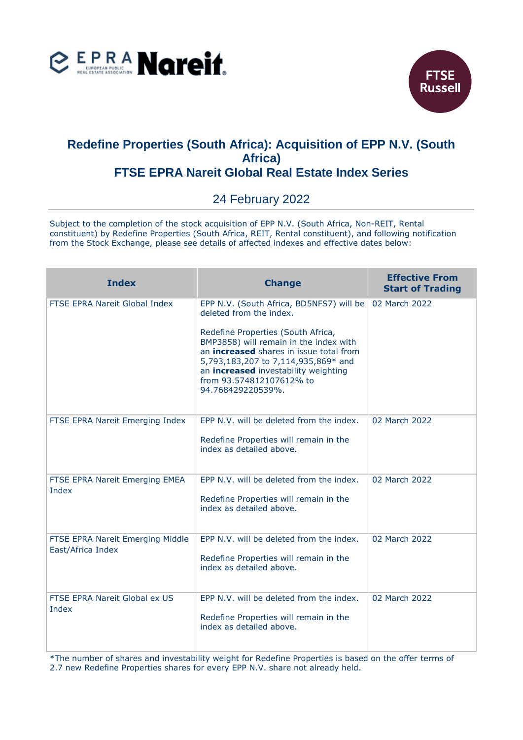



## **Redefine Properties (South Africa): Acquisition of EPP N.V. (South Africa) FTSE EPRA Nareit Global Real Estate Index Series**

## 24 February 2022

Subject to the completion of the stock acquisition of EPP N.V. (South Africa, Non-REIT, Rental constituent) by Redefine Properties (South Africa, REIT, Rental constituent), and following notification from the Stock Exchange, please see details of affected indexes and effective dates below:

| <b>Index</b>                                          | <b>Change</b>                                                                                                                                                                                                                                                  | <b>Effective From</b><br><b>Start of Trading</b> |
|-------------------------------------------------------|----------------------------------------------------------------------------------------------------------------------------------------------------------------------------------------------------------------------------------------------------------------|--------------------------------------------------|
| FTSE EPRA Nareit Global Index                         | EPP N.V. (South Africa, BD5NFS7) will be<br>deleted from the index.                                                                                                                                                                                            | 02 March 2022                                    |
|                                                       | Redefine Properties (South Africa,<br>BMP3858) will remain in the index with<br>an <b>increased</b> shares in issue total from<br>5,793,183,207 to 7,114,935,869* and<br>an increased investability weighting<br>from 93.574812107612% to<br>94.768429220539%. |                                                  |
| FTSE EPRA Nareit Emerging Index                       | EPP N.V. will be deleted from the index.<br>Redefine Properties will remain in the<br>index as detailed above.                                                                                                                                                 | 02 March 2022                                    |
| FTSE EPRA Nareit Emerging EMEA<br>Index               | EPP N.V. will be deleted from the index.<br>Redefine Properties will remain in the<br>index as detailed above.                                                                                                                                                 | 02 March 2022                                    |
| FTSE EPRA Nareit Emerging Middle<br>East/Africa Index | EPP N.V. will be deleted from the index.<br>Redefine Properties will remain in the<br>index as detailed above.                                                                                                                                                 | 02 March 2022                                    |
| FTSE EPRA Nareit Global ex US<br>Index                | EPP N.V. will be deleted from the index.<br>Redefine Properties will remain in the<br>index as detailed above.                                                                                                                                                 | 02 March 2022                                    |

\*The number of shares and investability weight for Redefine Properties is based on the offer terms of 2.7 new Redefine Properties shares for every EPP N.V. share not already held.